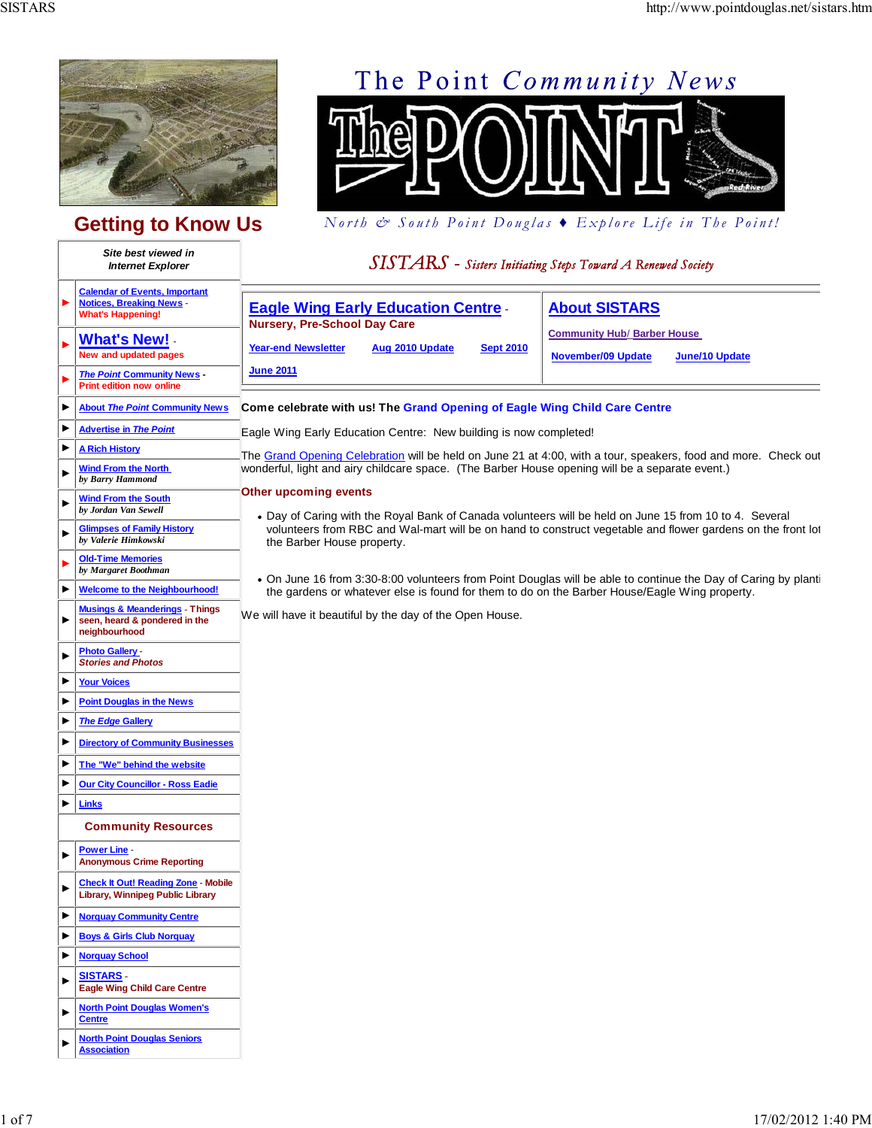



*Site best viewed in Internet Explorer*



# **Getting to Know Us** *North & South Point Douglas ♦ Explore Life in The Point!*

## *SISTARS - Sisters Initiating Steps Toward A Renewed Society*

|   | <b>Calendar of Events, Important</b><br><b>Notices, Breaking News -</b>                     |                                                                                                 |                 |                  | <b>About SISTARS</b>                                                                                   |                                                                                                                |
|---|---------------------------------------------------------------------------------------------|-------------------------------------------------------------------------------------------------|-----------------|------------------|--------------------------------------------------------------------------------------------------------|----------------------------------------------------------------------------------------------------------------|
|   | <b>What's Happening!</b>                                                                    | <b>Eagle Wing Early Education Centre</b><br><b>Nursery, Pre-School Day Care</b>                 |                 |                  |                                                                                                        |                                                                                                                |
|   | <b>What's New!</b><br>New and updated pages                                                 | <b>Year-end Newsletter</b>                                                                      | Aug 2010 Update | <b>Sept 2010</b> | <b>Community Hub/ Barber House</b><br><b>November/09 Update</b>                                        | <b>June/10 Update</b>                                                                                          |
|   | <b>The Point Community News</b><br><b>Print edition now online</b>                          | <b>June 2011</b>                                                                                |                 |                  |                                                                                                        |                                                                                                                |
| ▶ | <b>About The Point Community News</b>                                                       | Come celebrate with us! The Grand Opening of Eagle Wing Child Care Centre                       |                 |                  |                                                                                                        |                                                                                                                |
| ▶ | <b>Advertise in The Point</b>                                                               | Eagle Wing Early Education Centre: New building is now completed!                               |                 |                  |                                                                                                        |                                                                                                                |
| ь | <b>A Rich History</b>                                                                       |                                                                                                 |                 |                  |                                                                                                        | The Grand Opening Celebration will be held on June 21 at 4:00, with a tour, speakers, food and more. Check out |
|   | <b>Wind From the North</b><br>by Barry Hammond                                              | wonderful, light and airy childcare space. (The Barber House opening will be a separate event.) |                 |                  |                                                                                                        |                                                                                                                |
|   | <b>Wind From the South</b><br>by Jordan Van Sewell                                          | Other upcoming events                                                                           |                 |                  | . Day of Caring with the Royal Bank of Canada volunteers will be held on June 15 from 10 to 4. Several |                                                                                                                |
|   | <b>Glimpses of Family History</b><br>by Valerie Himkowski                                   | the Barber House property.                                                                      |                 |                  |                                                                                                        | volunteers from RBC and Wal-mart will be on hand to construct vegetable and flower gardens on the front lot    |
|   | <b>Old-Time Memories</b><br>by Margaret Boothman                                            |                                                                                                 |                 |                  |                                                                                                        | . On June 16 from 3:30-8:00 volunteers from Point Douglas will be able to continue the Day of Caring by planti |
| ▶ | <b>Welcome to the Neighbourhood!</b>                                                        |                                                                                                 |                 |                  | the gardens or whatever else is found for them to do on the Barber House/Eagle Wing property.          |                                                                                                                |
| ▶ | <b>Musings &amp; Meanderings - Things</b><br>seen, heard & pondered in the<br>neighbourhood | We will have it beautiful by the day of the Open House.                                         |                 |                  |                                                                                                        |                                                                                                                |
| ▶ | <b>Photo Gallery -</b><br><b>Stories and Photos</b>                                         |                                                                                                 |                 |                  |                                                                                                        |                                                                                                                |
| ▶ | <b>Your Voices</b>                                                                          |                                                                                                 |                 |                  |                                                                                                        |                                                                                                                |
| ▶ | <b>Point Douglas in the News</b>                                                            |                                                                                                 |                 |                  |                                                                                                        |                                                                                                                |
| ▶ | <b>The Edge Gallery</b>                                                                     |                                                                                                 |                 |                  |                                                                                                        |                                                                                                                |
| ▶ | <b>Directory of Community Businesses</b>                                                    |                                                                                                 |                 |                  |                                                                                                        |                                                                                                                |
| ▶ | The "We" behind the website                                                                 |                                                                                                 |                 |                  |                                                                                                        |                                                                                                                |
| ▶ | <b>Our City Councillor - Ross Eadie</b>                                                     |                                                                                                 |                 |                  |                                                                                                        |                                                                                                                |
| ▶ | <b>Links</b>                                                                                |                                                                                                 |                 |                  |                                                                                                        |                                                                                                                |
|   | <b>Community Resources</b>                                                                  |                                                                                                 |                 |                  |                                                                                                        |                                                                                                                |
|   | <b>Power Line -</b><br><b>Anonymous Crime Reporting</b>                                     |                                                                                                 |                 |                  |                                                                                                        |                                                                                                                |
|   | <b>Check It Out! Reading Zone - Mobile</b><br><b>Library, Winnipeg Public Library</b>       |                                                                                                 |                 |                  |                                                                                                        |                                                                                                                |
|   | <b>Norquay Community Centre</b>                                                             |                                                                                                 |                 |                  |                                                                                                        |                                                                                                                |
| ▶ | <b>Boys &amp; Girls Club Norquay</b>                                                        |                                                                                                 |                 |                  |                                                                                                        |                                                                                                                |
| ▶ | <b>Norguay School</b>                                                                       |                                                                                                 |                 |                  |                                                                                                        |                                                                                                                |
| ▶ | <b>SISTARS</b><br><b>Eagle Wing Child Care Centre</b>                                       |                                                                                                 |                 |                  |                                                                                                        |                                                                                                                |
| ▶ | <b>North Point Douglas Women's</b><br><b>Centre</b>                                         |                                                                                                 |                 |                  |                                                                                                        |                                                                                                                |
| ▶ | <b>North Point Douglas Seniors</b><br><b>Association</b>                                    |                                                                                                 |                 |                  |                                                                                                        |                                                                                                                |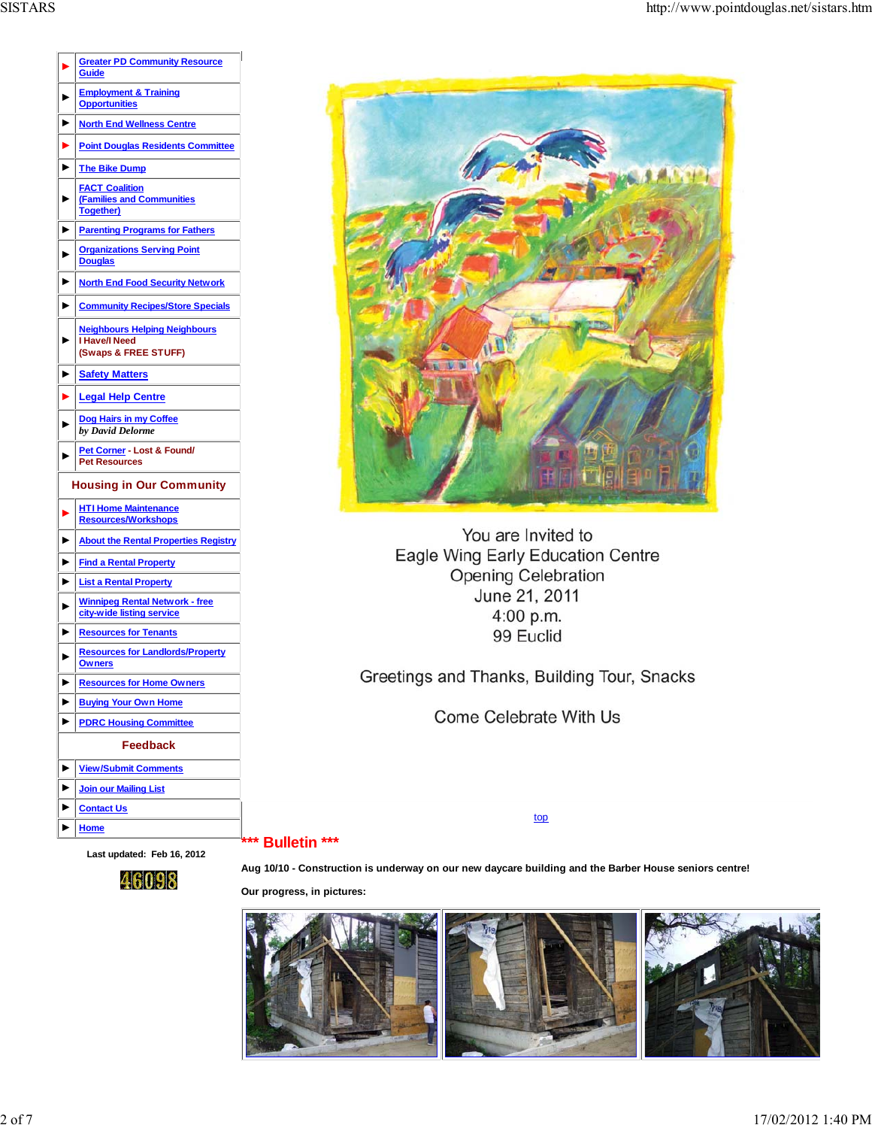|                                 | <b>Greater PD Community Resource</b><br><b>Guide</b>                                 |  |  |  |  |  |
|---------------------------------|--------------------------------------------------------------------------------------|--|--|--|--|--|
|                                 | <b>Employment &amp; Training</b><br><b>Opportunities</b>                             |  |  |  |  |  |
| ▶                               | <b>North End Wellness Centre</b>                                                     |  |  |  |  |  |
| ь                               | <b>Point Douglas Residents Committee</b>                                             |  |  |  |  |  |
| ▶                               | <b>The Bike Dump</b>                                                                 |  |  |  |  |  |
|                                 | <b>FACT Coalition</b><br><b>(Families and Communities</b><br><b>Together)</b>        |  |  |  |  |  |
| ▶                               | <b>Parenting Programs for Fathers</b>                                                |  |  |  |  |  |
|                                 | <b>Organizations Serving Point</b><br><b>Douglas</b>                                 |  |  |  |  |  |
|                                 | <b>North End Food Security Network</b>                                               |  |  |  |  |  |
|                                 | <b>Community Recipes/Store Specials</b>                                              |  |  |  |  |  |
|                                 | <b>Neighbours Helping Neighbours</b><br><b>I Have/I Need</b><br>(Swaps & FREE STUFF) |  |  |  |  |  |
| ▶                               | <b>Safety Matters</b>                                                                |  |  |  |  |  |
|                                 | <b>Legal Help Centre</b>                                                             |  |  |  |  |  |
| ▶                               | Dog Hairs in my Coffee<br>by David Delorme                                           |  |  |  |  |  |
|                                 | Pet Corner - Lost & Found/<br><b>Pet Resources</b>                                   |  |  |  |  |  |
| <b>Housing in Our Community</b> |                                                                                      |  |  |  |  |  |
|                                 | <b>HTI Home Maintenance</b><br><b>Resources/Workshops</b>                            |  |  |  |  |  |
| ▶                               | <b>About the Rental Properties Registry</b>                                          |  |  |  |  |  |
|                                 | <b>Find a Rental Property</b>                                                        |  |  |  |  |  |
|                                 | <b>List a Rental Property</b>                                                        |  |  |  |  |  |
|                                 | <b>Winnipeg Rental Network - free</b><br>city-wide listing service                   |  |  |  |  |  |
|                                 | <b>Resources for Tenants</b>                                                         |  |  |  |  |  |
|                                 | <b>Resources for Landlords/Property</b><br><b>Owners</b>                             |  |  |  |  |  |
| ▶                               | <b>Resources for Home Owners</b>                                                     |  |  |  |  |  |
|                                 | <b>Buying Your Own Home</b>                                                          |  |  |  |  |  |
|                                 | <b>PDRC Housing Committee</b>                                                        |  |  |  |  |  |
|                                 | Feedback                                                                             |  |  |  |  |  |
| ▶                               | <b>View/Submit Comments</b>                                                          |  |  |  |  |  |
|                                 | <b>Join our Mailing List</b>                                                         |  |  |  |  |  |
| ▶                               | <b>Contact Us</b>                                                                    |  |  |  |  |  |
| ▶                               | Home                                                                                 |  |  |  |  |  |
|                                 |                                                                                      |  |  |  |  |  |



You are Invited to Eagle Wing Early Education Centre Opening Celebration June 21, 2011 4:00 p.m. 99 Euclid

Greetings and Thanks, Building Tour, Snacks

Come Celebrate With Us

top

### **\*\*\* Bulletin \*\*\***

**Last updated: Feb 16, 2012** 46098

**Aug 10/10 - Construction is underway on our new daycare building and the Barber House seniors centre!**

**Our progress, in pictures:**

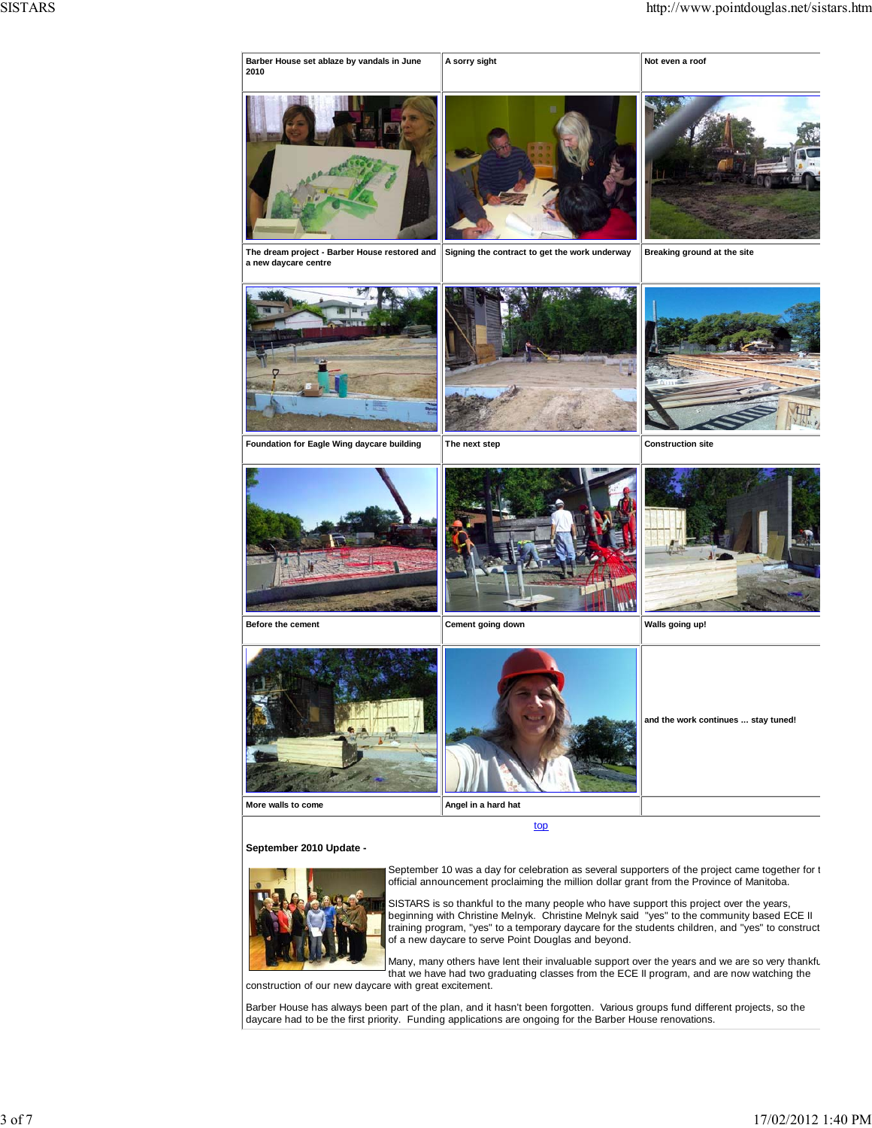

#### **September 2010 Update -**



September 10 was a day for celebration as several supporters of the project came together for t official announcement proclaiming the million dollar grant from the Province of Manitoba.

SISTARS is so thankful to the many people who have support this project over the years, beginning with Christine Melnyk. Christine Melnyk said "yes" to the community based ECE II training program, "yes" to a temporary daycare for the students children, and "yes" to construct of a new daycare to serve Point Douglas and beyond.

Many, many others have lent their invaluable support over the years and we are so very thankfu that we have had two graduating classes from the ECE II program, and are now watching the

construction of our new daycare with great excitement.

Barber House has always been part of the plan, and it hasn't been forgotten. Various groups fund different projects, so the daycare had to be the first priority. Funding applications are ongoing for the Barber House renovations.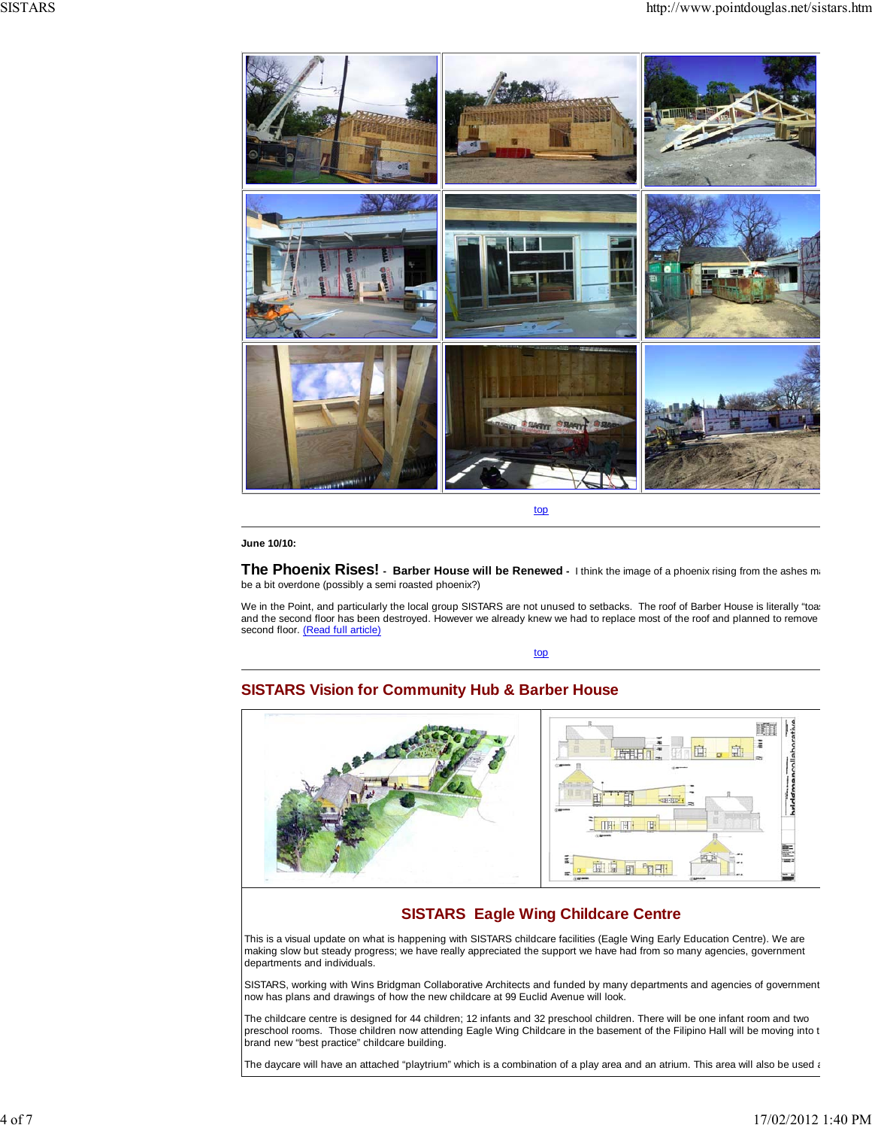

top

**June 10/10:**

**The Phoenix Rises! - Barber House will be Renewed - I think the image of a phoenix rising from the ashes mannel** be a bit overdone (possibly a semi roasted phoenix?)

We in the Point, and particularly the local group SISTARS are not unused to setbacks. The roof of Barber House is literally "toa: and the second floor has been destroyed. However we already knew we had to replace most of the roof and planned to remove second floor. (Read full article)

top

## **SISTARS Vision for Community Hub & Barber House**



## **SISTARS Eagle Wing Childcare Centre**

This is a visual update on what is happening with SISTARS childcare facilities (Eagle Wing Early Education Centre). We are making slow but steady progress; we have really appreciated the support we have had from so many agencies, government departments and individuals.

SISTARS, working with Wins Bridgman Collaborative Architects and funded by many departments and agencies of government now has plans and drawings of how the new childcare at 99 Euclid Avenue will look.

The childcare centre is designed for 44 children; 12 infants and 32 preschool children. There will be one infant room and two preschool rooms. Those children now attending Eagle Wing Childcare in the basement of the Filipino Hall will be moving into t brand new "best practice" childcare building.

The daycare will have an attached "playtrium" which is a combination of a play area and an atrium. This area will also be used a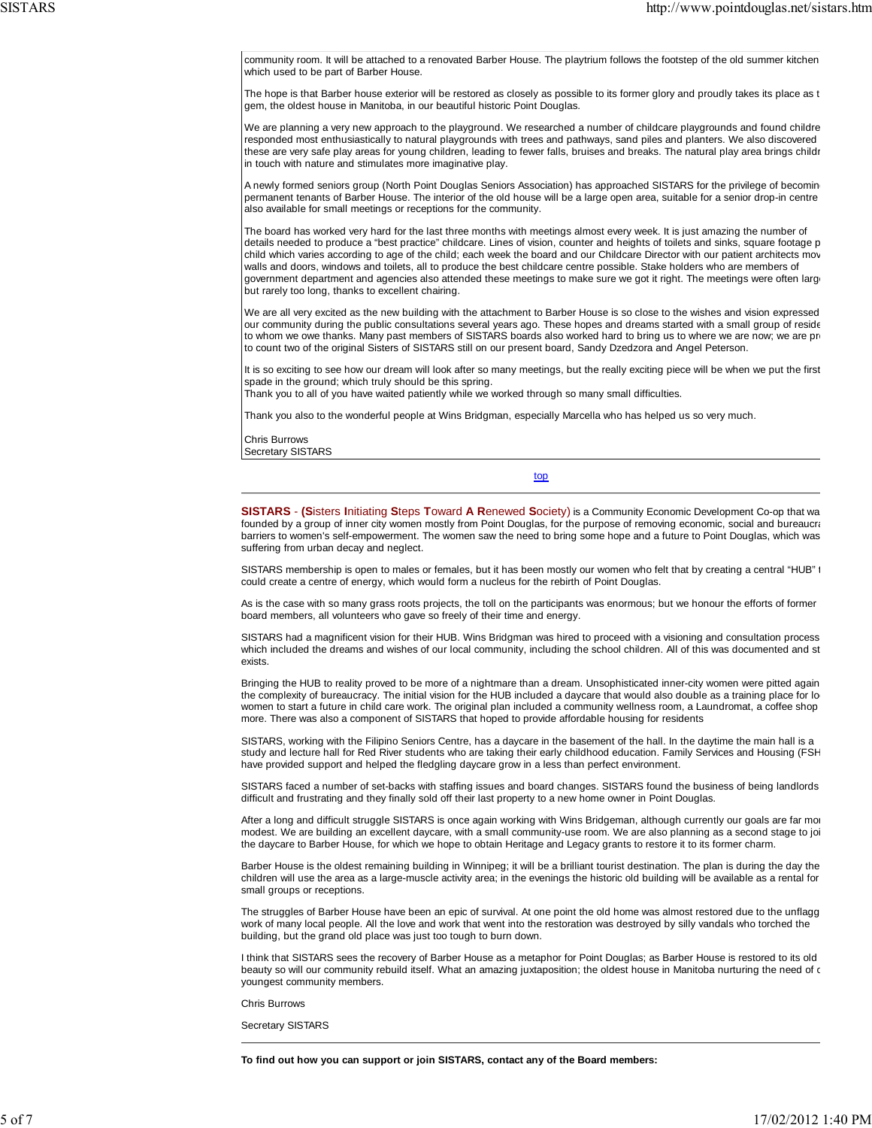community room. It will be attached to a renovated Barber House. The playtrium follows the footstep of the old summer kitchen which used to be part of Barber House.

The hope is that Barber house exterior will be restored as closely as possible to its former glory and proudly takes its place as t gem, the oldest house in Manitoba, in our beautiful historic Point Douglas.

We are planning a very new approach to the playground. We researched a number of childcare playgrounds and found childre responded most enthusiastically to natural playgrounds with trees and pathways, sand piles and planters. We also discovered these are very safe play areas for young children, leading to fewer falls, bruises and breaks. The natural play area brings childr in touch with nature and stimulates more imaginative play.

A newly formed seniors group (North Point Douglas Seniors Association) has approached SISTARS for the privilege of becoming permanent tenants of Barber House. The interior of the old house will be a large open area, suitable for a senior drop-in centre also available for small meetings or receptions for the community.

The board has worked very hard for the last three months with meetings almost every week. It is just amazing the number of details needed to produce a "best practice" childcare. Lines of vision, counter and heights of toilets and sinks, square footage p child which varies according to age of the child; each week the board and our Childcare Director with our patient architects mov walls and doors, windows and toilets, all to produce the best childcare centre possible. Stake holders who are members of government department and agencies also attended these meetings to make sure we got it right. The meetings were often large but rarely too long, thanks to excellent chairing.

We are all very excited as the new building with the attachment to Barber House is so close to the wishes and vision expressed our community during the public consultations several years ago. These hopes and dreams started with a small group of reside to whom we owe thanks. Many past members of SISTARS boards also worked hard to bring us to where we are now; we are pro to count two of the original Sisters of SISTARS still on our present board, Sandy Dzedzora and Angel Peterson.

It is so exciting to see how our dream will look after so many meetings, but the really exciting piece will be when we put the first spade in the ground; which truly should be this spring.

Thank you to all of you have waited patiently while we worked through so many small difficulties.

Thank you also to the wonderful people at Wins Bridgman, especially Marcella who has helped us so very much.

Chris Burrows Secretary SISTARS

top

**SISTARS** - **(S**isters **I**nitiating **S**teps **T**oward **A R**enewed **S**ociety) is a Community Economic Development Co-op that wa founded by a group of inner city women mostly from Point Douglas, for the purpose of removing economic, social and bureaucra barriers to women's self-empowerment. The women saw the need to bring some hope and a future to Point Douglas, which was suffering from urban decay and neglect.

SISTARS membership is open to males or females, but it has been mostly our women who felt that by creating a central "HUB" t could create a centre of energy, which would form a nucleus for the rebirth of Point Douglas.

As is the case with so many grass roots projects, the toll on the participants was enormous; but we honour the efforts of former board members, all volunteers who gave so freely of their time and energy.

SISTARS had a magnificent vision for their HUB. Wins Bridgman was hired to proceed with a visioning and consultation process which included the dreams and wishes of our local community, including the school children. All of this was documented and st exists.

Bringing the HUB to reality proved to be more of a nightmare than a dream. Unsophisticated inner-city women were pitted again the complexity of bureaucracy. The initial vision for the HUB included a daycare that would also double as a training place for loc women to start a future in child care work. The original plan included a community wellness room, a Laundromat, a coffee shop more. There was also a component of SISTARS that hoped to provide affordable housing for residents

SISTARS, working with the Filipino Seniors Centre, has a daycare in the basement of the hall. In the daytime the main hall is a study and lecture hall for Red River students who are taking their early childhood education. Family Services and Housing (FSH have provided support and helped the fledgling daycare grow in a less than perfect environment.

SISTARS faced a number of set-backs with staffing issues and board changes. SISTARS found the business of being landlords difficult and frustrating and they finally sold off their last property to a new home owner in Point Douglas.

After a long and difficult struggle SISTARS is once again working with Wins Bridgeman, although currently our goals are far mor modest. We are building an excellent daycare, with a small community-use room. We are also planning as a second stage to joi the daycare to Barber House, for which we hope to obtain Heritage and Legacy grants to restore it to its former charm.

Barber House is the oldest remaining building in Winnipeg; it will be a brilliant tourist destination. The plan is during the day the children will use the area as a large-muscle activity area; in the evenings the historic old building will be available as a rental for small groups or receptions.

The struggles of Barber House have been an epic of survival. At one point the old home was almost restored due to the unflagg work of many local people. All the love and work that went into the restoration was destroyed by silly vandals who torched the building, but the grand old place was just too tough to burn down.

I think that SISTARS sees the recovery of Barber House as a metaphor for Point Douglas; as Barber House is restored to its old beauty so will our community rebuild itself. What an amazing juxtaposition; the oldest house in Manitoba nurturing the need of o youngest community members.

Chris Burrows

Secretary SISTARS

**To find out how you can support or join SISTARS, contact any of the Board members:**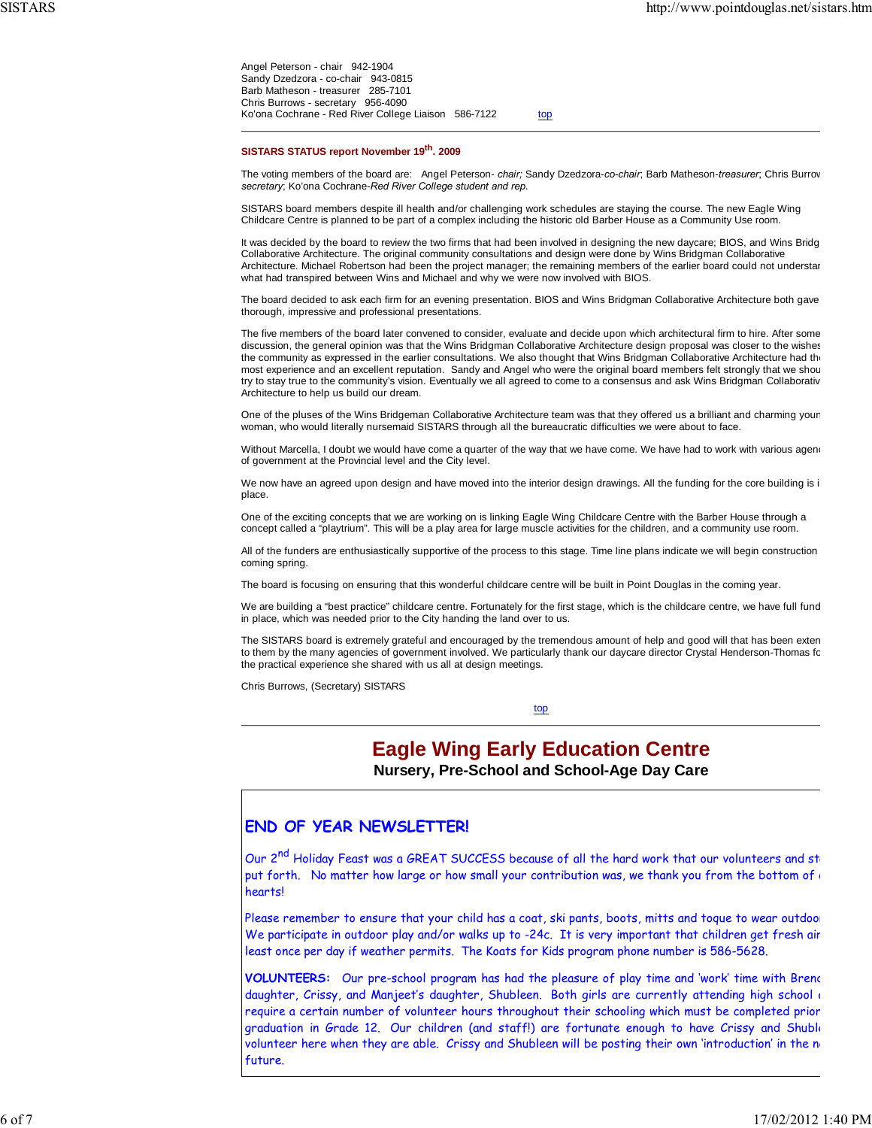Angel Peterson - chair 942-1904 Sandy Dzedzora - co-chair 943-0815 Barb Matheson - treasurer 285-7101 Chris Burrows - secretary 956-4090 Ko'ona Cochrane - Red River College Liaison 586-7122 top

#### **SISTARS STATUS report November 19th. 2009**

The voting members of the board are: Angel Peterson- *chair;* Sandy Dzedzora-*co-chair*; Barb Matheson-*treasurer*; Chris Burrow *secretary*; Ko'ona Cochrane-*Red River College student and rep*.

SISTARS board members despite ill health and/or challenging work schedules are staying the course. The new Eagle Wing Childcare Centre is planned to be part of a complex including the historic old Barber House as a Community Use room.

It was decided by the board to review the two firms that had been involved in designing the new daycare; BIOS, and Wins Bridg Collaborative Architecture. The original community consultations and design were done by Wins Bridgman Collaborative Architecture. Michael Robertson had been the project manager; the remaining members of the earlier board could not understan what had transpired between Wins and Michael and why we were now involved with BIOS.

The board decided to ask each firm for an evening presentation. BIOS and Wins Bridgman Collaborative Architecture both gave thorough, impressive and professional presentations.

The five members of the board later convened to consider, evaluate and decide upon which architectural firm to hire. After some discussion, the general opinion was that the Wins Bridgman Collaborative Architecture design proposal was closer to the wishes the community as expressed in the earlier consultations. We also thought that Wins Bridgman Collaborative Architecture had the most experience and an excellent reputation. Sandy and Angel who were the original board members felt strongly that we shou try to stay true to the community's vision. Eventually we all agreed to come to a consensus and ask Wins Bridgman Collaborativ Architecture to help us build our dream.

One of the pluses of the Wins Bridgeman Collaborative Architecture team was that they offered us a brilliant and charming youn woman, who would literally nursemaid SISTARS through all the bureaucratic difficulties we were about to face.

Without Marcella, I doubt we would have come a quarter of the way that we have come. We have had to work with various agend of government at the Provincial level and the City level.

We now have an agreed upon design and have moved into the interior design drawings. All the funding for the core building is i place

One of the exciting concepts that we are working on is linking Eagle Wing Childcare Centre with the Barber House through a concept called a "playtrium". This will be a play area for large muscle activities for the children, and a community use room.

All of the funders are enthusiastically supportive of the process to this stage. Time line plans indicate we will begin construction coming spring.

The board is focusing on ensuring that this wonderful childcare centre will be built in Point Douglas in the coming year.

We are building a "best practice" childcare centre. Fortunately for the first stage, which is the childcare centre, we have full fund in place, which was needed prior to the City handing the land over to us.

The SISTARS board is extremely grateful and encouraged by the tremendous amount of help and good will that has been exten to them by the many agencies of government involved. We particularly thank our daycare director Crystal Henderson-Thomas fo the practical experience she shared with us all at design meetings.

Chris Burrows, (Secretary) SISTARS

top

## **Eagle Wing Early Education Centre**

**Nursery, Pre-School and School-Age Day Care**

### **END OF YEAR NEWSLETTER!**

Our 2<sup>nd</sup> Holiday Feast was a GREAT SUCCESS because of all the hard work that our volunteers and st put forth. No matter how large or how small your contribution was, we thank you from the bottom of  $\epsilon$ hearts!

Please remember to ensure that your child has a coat, ski pants, boots, mitts and toque to wear outdoor We participate in outdoor play and/or walks up to -24c. It is very important that children get fresh air least once per day if weather permits. The Koats for Kids program phone number is 586-5628.

**VOLUNTEERS:** Our pre-school program has had the pleasure of play time and 'work' time with Brend daughter, Crissy, and Manjeet's daughter, Shubleen. Both girls are currently attending high school a require a certain number of volunteer hours throughout their schooling which must be completed prior graduation in Grade 12. Our children (and staff!) are fortunate enough to have Crissy and Shuble volunteer here when they are able. Crissy and Shubleen will be posting their own 'introduction' in the ne future.